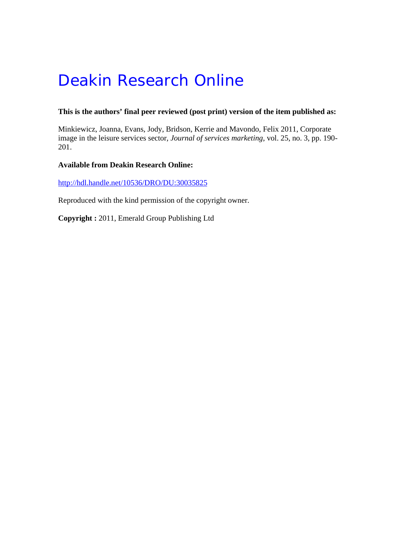# Deakin Research Online

#### **This is the authors' final peer reviewed (post print) version of the item published as:**

Minkiewicz, Joanna, Evans, Jody, Bridson, Kerrie and Mavondo, Felix 2011, Corporate image in the leisure services sector*, Journal of services marketing*, vol. 25, no. 3, pp. 190- 201.

#### **Available from Deakin Research Online:**

http://hdl.handle.net/10536/DRO/DU:30035825

Reproduced with the kind permission of the copyright owner.

**Copyright :** 2011, Emerald Group Publishing Ltd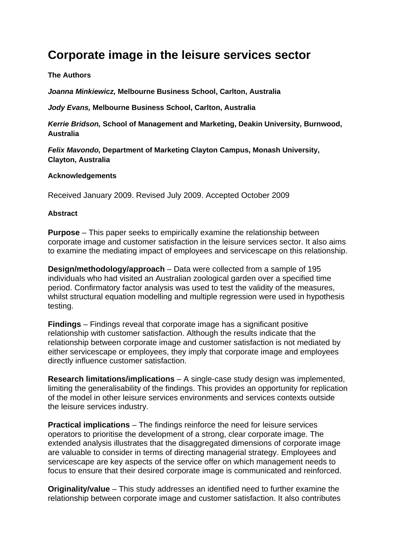### **Corporate image in the leisure services sector**

#### **The Authors**

*Joanna Minkiewicz,* **Melbourne Business School, Carlton, Australia**

*Jody Evans,* **Melbourne Business School, Carlton, Australia**

*Kerrie Bridson,* **School of Management and Marketing, Deakin University, Burnwood, Australia**

*Felix Mavondo,* **Department of Marketing Clayton Campus, Monash University, Clayton, Australia**

#### **Acknowledgements**

Received January 2009. Revised July 2009. Accepted October 2009

#### **Abstract**

**Purpose** – This paper seeks to empirically examine the relationship between corporate image and customer satisfaction in the leisure services sector. It also aims to examine the mediating impact of employees and servicescape on this relationship.

**Design/methodology/approach** – Data were collected from a sample of 195 individuals who had visited an Australian zoological garden over a specified time period. Confirmatory factor analysis was used to test the validity of the measures, whilst structural equation modelling and multiple regression were used in hypothesis testing.

**Findings** – Findings reveal that corporate image has a significant positive relationship with customer satisfaction. Although the results indicate that the relationship between corporate image and customer satisfaction is not mediated by either servicescape or employees, they imply that corporate image and employees directly influence customer satisfaction.

**Research limitations/implications** – A single-case study design was implemented, limiting the generalisability of the findings. This provides an opportunity for replication of the model in other leisure services environments and services contexts outside the leisure services industry.

**Practical implications** – The findings reinforce the need for leisure services operators to prioritise the development of a strong, clear corporate image. The extended analysis illustrates that the disaggregated dimensions of corporate image are valuable to consider in terms of directing managerial strategy. Employees and servicescape are key aspects of the service offer on which management needs to focus to ensure that their desired corporate image is communicated and reinforced.

**Originality/value** – This study addresses an identified need to further examine the relationship between corporate image and customer satisfaction. It also contributes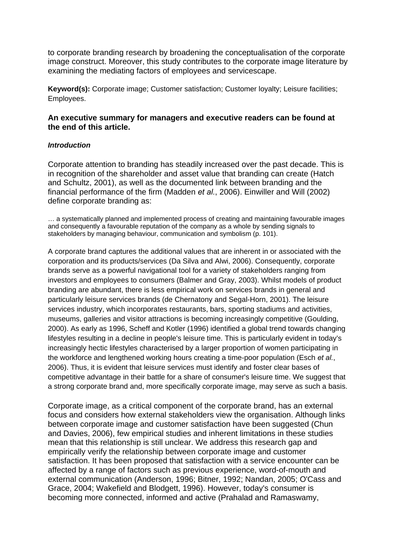to corporate branding research by broadening the conceptualisation of the corporate image construct. Moreover, this study contributes to the corporate image literature by examining the mediating factors of employees and servicescape.

**Keyword(s):** Corporate image; Customer satisfaction; Customer loyalty; Leisure facilities; Employees.

#### **An executive summary for managers and executive readers can be found at the end of this article.**

#### *Introduction*

Corporate attention to branding has steadily increased over the past decade. This is in recognition of the shareholder and asset value that branding can create (Hatch and Schultz, 2001), as well as the documented link between branding and the financial performance of the firm (Madden *et al.*, 2006). Einwiller and Will (2002) define corporate branding as:

… a systematically planned and implemented process of creating and maintaining favourable images and consequently a favourable reputation of the company as a whole by sending signals to stakeholders by managing behaviour, communication and symbolism (p. 101).

A corporate brand captures the additional values that are inherent in or associated with the corporation and its products/services (Da Silva and Alwi, 2006). Consequently, corporate brands serve as a powerful navigational tool for a variety of stakeholders ranging from investors and employees to consumers (Balmer and Gray, 2003). Whilst models of product branding are abundant, there is less empirical work on services brands in general and particularly leisure services brands (de Chernatony and Segal-Horn, 2001). The leisure services industry, which incorporates restaurants, bars, sporting stadiums and activities, museums, galleries and visitor attractions is becoming increasingly competitive (Goulding, 2000). As early as 1996, Scheff and Kotler (1996) identified a global trend towards changing lifestyles resulting in a decline in people's leisure time. This is particularly evident in today's increasingly hectic lifestyles characterised by a larger proportion of women participating in the workforce and lengthened working hours creating a time-poor population (Esch *et al.*, 2006). Thus, it is evident that leisure services must identify and foster clear bases of competitive advantage in their battle for a share of consumer's leisure time. We suggest that a strong corporate brand and, more specifically corporate image, may serve as such a basis.

Corporate image, as a critical component of the corporate brand, has an external focus and considers how external stakeholders view the organisation. Although links between corporate image and customer satisfaction have been suggested (Chun and Davies, 2006), few empirical studies and inherent limitations in these studies mean that this relationship is still unclear. We address this research gap and empirically verify the relationship between corporate image and customer satisfaction. It has been proposed that satisfaction with a service encounter can be affected by a range of factors such as previous experience, word-of-mouth and external communication (Anderson, 1996; Bitner, 1992; Nandan, 2005; O'Cass and Grace, 2004; Wakefield and Blodgett, 1996). However, today's consumer is becoming more connected, informed and active (Prahalad and Ramaswamy,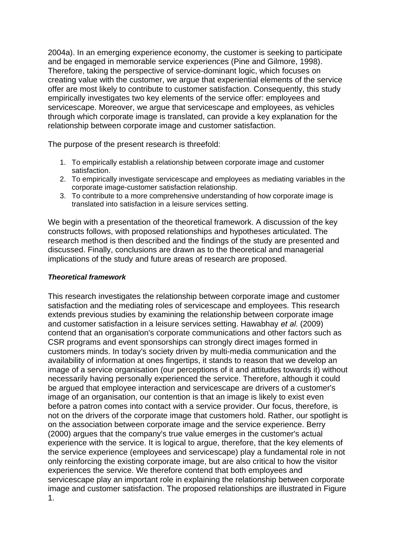2004a). In an emerging experience economy, the customer is seeking to participate and be engaged in memorable service experiences (Pine and Gilmore, 1998). Therefore, taking the perspective of service-dominant logic, which focuses on creating value with the customer, we argue that experiential elements of the service offer are most likely to contribute to customer satisfaction. Consequently, this study empirically investigates two key elements of the service offer: employees and servicescape. Moreover, we argue that servicescape and employees, as vehicles through which corporate image is translated, can provide a key explanation for the relationship between corporate image and customer satisfaction.

The purpose of the present research is threefold:

- 1. To empirically establish a relationship between corporate image and customer satisfaction.
- 2. To empirically investigate servicescape and employees as mediating variables in the corporate image-customer satisfaction relationship.
- 3. To contribute to a more comprehensive understanding of how corporate image is translated into satisfaction in a leisure services setting.

We begin with a presentation of the theoretical framework. A discussion of the key constructs follows, with proposed relationships and hypotheses articulated. The research method is then described and the findings of the study are presented and discussed. Finally, conclusions are drawn as to the theoretical and managerial implications of the study and future areas of research are proposed.

#### *Theoretical framework*

This research investigates the relationship between corporate image and customer satisfaction and the mediating roles of servicescape and employees. This research extends previous studies by examining the relationship between corporate image and customer satisfaction in a leisure services setting. Hawabhay *et al.* (2009) contend that an organisation's corporate communications and other factors such as CSR programs and event sponsorships can strongly direct images formed in customers minds. In today's society driven by multi-media communication and the availability of information at ones fingertips, it stands to reason that we develop an image of a service organisation (our perceptions of it and attitudes towards it) without necessarily having personally experienced the service. Therefore, although it could be argued that employee interaction and servicescape are drivers of a customer's image of an organisation, our contention is that an image is likely to exist even before a patron comes into contact with a service provider. Our focus, therefore, is not on the drivers of the corporate image that customers hold. Rather, our spotlight is on the association between corporate image and the service experience. Berry (2000) argues that the company's true value emerges in the customer's actual experience with the service. It is logical to argue, therefore, that the key elements of the service experience (employees and servicescape) play a fundamental role in not only reinforcing the existing corporate image, but are also critical to how the visitor experiences the service. We therefore contend that both employees and servicescape play an important role in explaining the relationship between corporate image and customer satisfaction. The proposed relationships are illustrated in Figure 1.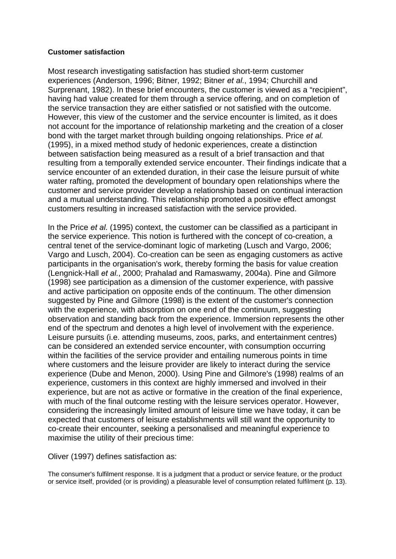#### **Customer satisfaction**

Most research investigating satisfaction has studied short-term customer experiences (Anderson, 1996; Bitner, 1992; Bitner *et al.*, 1994; Churchill and Surprenant, 1982). In these brief encounters, the customer is viewed as a "recipient", having had value created for them through a service offering, and on completion of the service transaction they are either satisfied or not satisfied with the outcome. However, this view of the customer and the service encounter is limited, as it does not account for the importance of relationship marketing and the creation of a closer bond with the target market through building ongoing relationships. Price *et al.* (1995), in a mixed method study of hedonic experiences, create a distinction between satisfaction being measured as a result of a brief transaction and that resulting from a temporally extended service encounter. Their findings indicate that a service encounter of an extended duration, in their case the leisure pursuit of white water rafting, promoted the development of boundary open relationships where the customer and service provider develop a relationship based on continual interaction and a mutual understanding. This relationship promoted a positive effect amongst customers resulting in increased satisfaction with the service provided.

In the Price *et al.* (1995) context, the customer can be classified as a participant in the service experience. This notion is furthered with the concept of co-creation, a central tenet of the service-dominant logic of marketing (Lusch and Vargo, 2006; Vargo and Lusch, 2004). Co-creation can be seen as engaging customers as active participants in the organisation's work, thereby forming the basis for value creation (Lengnick-Hall *et al.*, 2000; Prahalad and Ramaswamy, 2004a). Pine and Gilmore (1998) see participation as a dimension of the customer experience, with passive and active participation on opposite ends of the continuum. The other dimension suggested by Pine and Gilmore (1998) is the extent of the customer's connection with the experience, with absorption on one end of the continuum, suggesting observation and standing back from the experience. Immersion represents the other end of the spectrum and denotes a high level of involvement with the experience. Leisure pursuits (i.e. attending museums, zoos, parks, and entertainment centres) can be considered an extended service encounter, with consumption occurring within the facilities of the service provider and entailing numerous points in time where customers and the leisure provider are likely to interact during the service experience (Dube and Menon, 2000). Using Pine and Gilmore's (1998) realms of an experience, customers in this context are highly immersed and involved in their experience, but are not as active or formative in the creation of the final experience, with much of the final outcome resting with the leisure services operator. However, considering the increasingly limited amount of leisure time we have today, it can be expected that customers of leisure establishments will still want the opportunity to co-create their encounter, seeking a personalised and meaningful experience to maximise the utility of their precious time:

Oliver (1997) defines satisfaction as:

The consumer's fulfilment response. It is a judgment that a product or service feature, or the product or service itself, provided (or is providing) a pleasurable level of consumption related fulfilment (p. 13).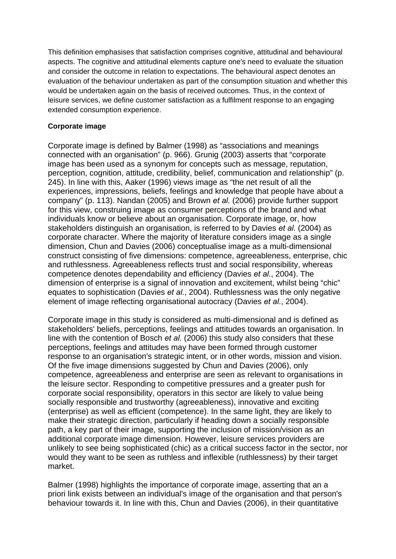This definition emphasises that satisfaction comprises cognitive, attitudinal and behavioural aspects. The cognitive and attitudinal elements capture one's need to evaluate the situation and consider the outcome in relation to expectations. The behavioural aspect denotes an evaluation of the behaviour undertaken as part of the consumption situation and whether this would be undertaken again on the basis of received outcomes. Thus, in the context of leisure services, we define customer satisfaction as a fulfilment response to an engaging extended consumption experience.

#### **Corporate image**

Corporate image is defined by Balmer (1998) as "associations and meanings connected with an organisation" (p. 966). Grunig (2003) asserts that "corporate image has been used as a synonym for concepts such as message, reputation, perception, cognition, attitude, credibility, belief, communication and relationship" (p. 245). In line with this, Aaker (1996) views image as "the net result of all the experiences, impressions, beliefs, feelings and knowledge that people have about a company" (p. 113). Nandan (2005) and Brown *et al.* (2006) provide further support for this view, construing image as consumer perceptions of the brand and what individuals know or believe about an organisation. Corporate image, or, how stakeholders distinguish an organisation, is referred to by Davies *et al.* (2004) as corporate character. Where the majority of literature considers image as a single dimension, Chun and Davies (2006) conceptualise image as a multi-dimensional construct consisting of five dimensions: competence, agreeableness, enterprise, chic and ruthlessness. Agreeableness reflects trust and social responsibility, whereas competence denotes dependability and efficiency (Davies *et al.*, 2004). The dimension of enterprise is a signal of innovation and excitement, whilst being "chic" equates to sophistication (Davies *et al.*, 2004). Ruthlessness was the only negative element of image reflecting organisational autocracy (Davies *et al.*, 2004).

Corporate image in this study is considered as multi-dimensional and is defined as stakeholders' beliefs, perceptions, feelings and attitudes towards an organisation. In line with the contention of Bosch *et al.* (2006) this study also considers that these perceptions, feelings and attitudes may have been formed through customer response to an organisation's strategic intent, or in other words, mission and vision. Of the five image dimensions suggested by Chun and Davies (2006), only competence, agreeableness and enterprise are seen as relevant to organisations in the leisure sector. Responding to competitive pressures and a greater push for corporate social responsibility, operators in this sector are likely to value being socially responsible and trustworthy (agreeableness), innovative and exciting (enterprise) as well as efficient (competence). In the same light, they are likely to make their strategic direction, particularly if heading down a socially responsible path, a key part of their image, supporting the inclusion of mission/vision as an additional corporate image dimension. However, leisure services providers are unlikely to see being sophisticated (chic) as a critical success factor in the sector, nor would they want to be seen as ruthless and inflexible (ruthlessness) by their target market.

Balmer (1998) highlights the importance of corporate image, asserting that an a priori link exists between an individual's image of the organisation and that person's behaviour towards it. In line with this, Chun and Davies (2006), in their quantitative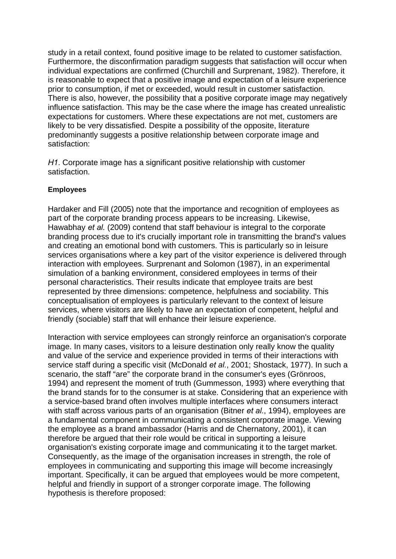study in a retail context, found positive image to be related to customer satisfaction. Furthermore, the disconfirmation paradigm suggests that satisfaction will occur when individual expectations are confirmed (Churchill and Surprenant, 1982). Therefore, it is reasonable to expect that a positive image and expectation of a leisure experience prior to consumption, if met or exceeded, would result in customer satisfaction. There is also, however, the possibility that a positive corporate image may negatively influence satisfaction. This may be the case where the image has created unrealistic expectations for customers. Where these expectations are not met, customers are likely to be very dissatisfied. Despite a possibility of the opposite, literature predominantly suggests a positive relationship between corporate image and satisfaction:

*H1*. Corporate image has a significant positive relationship with customer satisfaction.

#### **Employees**

Hardaker and Fill (2005) note that the importance and recognition of employees as part of the corporate branding process appears to be increasing. Likewise, Hawabhay *et al.* (2009) contend that staff behaviour is integral to the corporate branding process due to it's crucially important role in transmitting the brand's values and creating an emotional bond with customers. This is particularly so in leisure services organisations where a key part of the visitor experience is delivered through interaction with employees. Surprenant and Solomon (1987), in an experimental simulation of a banking environment, considered employees in terms of their personal characteristics. Their results indicate that employee traits are best represented by three dimensions: competence, helpfulness and sociability. This conceptualisation of employees is particularly relevant to the context of leisure services, where visitors are likely to have an expectation of competent, helpful and friendly (sociable) staff that will enhance their leisure experience.

Interaction with service employees can strongly reinforce an organisation's corporate image. In many cases, visitors to a leisure destination only really know the quality and value of the service and experience provided in terms of their interactions with service staff during a specific visit (McDonald *et al.*, 2001; Shostack, 1977). In such a scenario, the staff "are" the corporate brand in the consumer's eyes (Grönroos, 1994) and represent the moment of truth (Gummesson, 1993) where everything that the brand stands for to the consumer is at stake. Considering that an experience with a service-based brand often involves multiple interfaces where consumers interact with staff across various parts of an organisation (Bitner *et al.*, 1994), employees are a fundamental component in communicating a consistent corporate image. Viewing the employee as a brand ambassador (Harris and de Chernatony, 2001), it can therefore be argued that their role would be critical in supporting a leisure organisation's existing corporate image and communicating it to the target market. Consequently, as the image of the organisation increases in strength, the role of employees in communicating and supporting this image will become increasingly important. Specifically, it can be argued that employees would be more competent, helpful and friendly in support of a stronger corporate image. The following hypothesis is therefore proposed: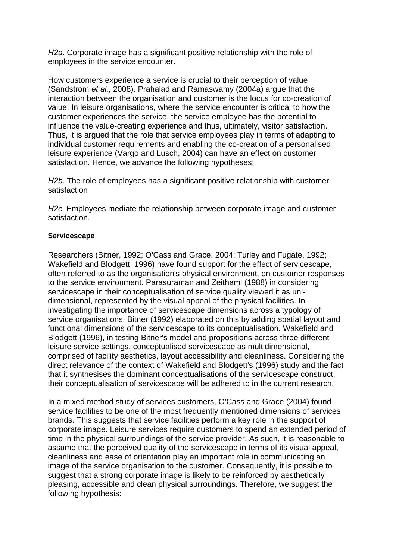*H2a*. Corporate image has a significant positive relationship with the role of employees in the service encounter.

How customers experience a service is crucial to their perception of value (Sandstrom *et al.*, 2008). Prahalad and Ramaswamy (2004a) argue that the interaction between the organisation and customer is the locus for co-creation of value. In leisure organisations, where the service encounter is critical to how the customer experiences the service, the service employee has the potential to influence the value-creating experience and thus, ultimately, visitor satisfaction. Thus, it is argued that the role that service employees play in terms of adapting to individual customer requirements and enabling the co-creation of a personalised leisure experience (Vargo and Lusch, 2004) can have an effect on customer satisfaction. Hence, we advance the following hypotheses:

*H2b*. The role of employees has a significant positive relationship with customer satisfaction

*H2c*. Employees mediate the relationship between corporate image and customer satisfaction.

#### **Servicescape**

Researchers (Bitner, 1992; O'Cass and Grace, 2004; Turley and Fugate, 1992; Wakefield and Blodgett, 1996) have found support for the effect of servicescape, often referred to as the organisation's physical environment, on customer responses to the service environment. Parasuraman and Zeithaml (1988) in considering servicescape in their conceptualisation of service quality viewed it as unidimensional, represented by the visual appeal of the physical facilities. In investigating the importance of servicescape dimensions across a typology of service organisations, Bitner (1992) elaborated on this by adding spatial layout and functional dimensions of the servicescape to its conceptualisation. Wakefield and Blodgett (1996), in testing Bitner's model and propositions across three different leisure service settings, conceptualised servicescape as multidimensional, comprised of facility aesthetics, layout accessibility and cleanliness. Considering the direct relevance of the context of Wakefield and Blodgett's (1996) study and the fact that it synthesises the dominant conceptualisations of the servicescape construct, their conceptualisation of servicescape will be adhered to in the current research.

In a mixed method study of services customers, O'Cass and Grace (2004) found service facilities to be one of the most frequently mentioned dimensions of services brands. This suggests that service facilities perform a key role in the support of corporate image. Leisure services require customers to spend an extended period of time in the physical surroundings of the service provider. As such, it is reasonable to assume that the perceived quality of the servicescape in terms of its visual appeal, cleanliness and ease of orientation play an important role in communicating an image of the service organisation to the customer. Consequently, it is possible to suggest that a strong corporate image is likely to be reinforced by aesthetically pleasing, accessible and clean physical surroundings. Therefore, we suggest the following hypothesis: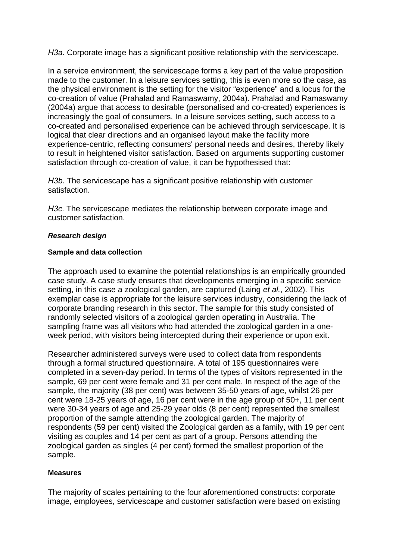*H3a*. Corporate image has a significant positive relationship with the servicescape.

In a service environment, the servicescape forms a key part of the value proposition made to the customer. In a leisure services setting, this is even more so the case, as the physical environment is the setting for the visitor "experience" and a locus for the co-creation of value (Prahalad and Ramaswamy, 2004a). Prahalad and Ramaswamy (2004a) argue that access to desirable (personalised and co-created) experiences is increasingly the goal of consumers. In a leisure services setting, such access to a co-created and personalised experience can be achieved through servicescape. It is logical that clear directions and an organised layout make the facility more experience-centric, reflecting consumers' personal needs and desires, thereby likely to result in heightened visitor satisfaction. Based on arguments supporting customer satisfaction through co-creation of value, it can be hypothesised that:

*H3b*. The servicescape has a significant positive relationship with customer satisfaction.

*H3c*. The servicescape mediates the relationship between corporate image and customer satisfaction.

#### *Research design*

#### **Sample and data collection**

The approach used to examine the potential relationships is an empirically grounded case study. A case study ensures that developments emerging in a specific service setting, in this case a zoological garden, are captured (Laing *et al.*, 2002). This exemplar case is appropriate for the leisure services industry, considering the lack of corporate branding research in this sector. The sample for this study consisted of randomly selected visitors of a zoological garden operating in Australia. The sampling frame was all visitors who had attended the zoological garden in a oneweek period, with visitors being intercepted during their experience or upon exit.

Researcher administered surveys were used to collect data from respondents through a formal structured questionnaire. A total of 195 questionnaires were completed in a seven-day period. In terms of the types of visitors represented in the sample, 69 per cent were female and 31 per cent male. In respect of the age of the sample, the majority (38 per cent) was between 35-50 years of age, whilst 26 per cent were 18-25 years of age, 16 per cent were in the age group of 50+, 11 per cent were 30-34 years of age and 25-29 year olds (8 per cent) represented the smallest proportion of the sample attending the zoological garden. The majority of respondents (59 per cent) visited the Zoological garden as a family, with 19 per cent visiting as couples and 14 per cent as part of a group. Persons attending the zoological garden as singles (4 per cent) formed the smallest proportion of the sample.

#### **Measures**

The majority of scales pertaining to the four aforementioned constructs: corporate image, employees, servicescape and customer satisfaction were based on existing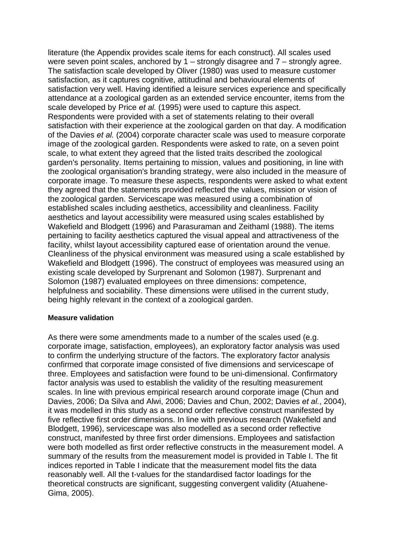literature (the Appendix provides scale items for each construct). All scales used were seven point scales, anchored by 1 – strongly disagree and 7 – strongly agree. The satisfaction scale developed by Oliver (1980) was used to measure customer satisfaction, as it captures cognitive, attitudinal and behavioural elements of satisfaction very well. Having identified a leisure services experience and specifically attendance at a zoological garden as an extended service encounter, items from the scale developed by Price *et al.* (1995) were used to capture this aspect. Respondents were provided with a set of statements relating to their overall satisfaction with their experience at the zoological garden on that day. A modification of the Davies *et al.* (2004) corporate character scale was used to measure corporate image of the zoological garden. Respondents were asked to rate, on a seven point scale, to what extent they agreed that the listed traits described the zoological garden's personality. Items pertaining to mission, values and positioning, in line with the zoological organisation's branding strategy, were also included in the measure of corporate image. To measure these aspects, respondents were asked to what extent they agreed that the statements provided reflected the values, mission or vision of the zoological garden. Servicescape was measured using a combination of established scales including aesthetics, accessibility and cleanliness. Facility aesthetics and layout accessibility were measured using scales established by Wakefield and Blodgett (1996) and Parasuraman and Zeithaml (1988). The items pertaining to facility aesthetics captured the visual appeal and attractiveness of the facility, whilst layout accessibility captured ease of orientation around the venue. Cleanliness of the physical environment was measured using a scale established by Wakefield and Blodgett (1996). The construct of employees was measured using an existing scale developed by Surprenant and Solomon (1987). Surprenant and Solomon (1987) evaluated employees on three dimensions: competence, helpfulness and sociability. These dimensions were utilised in the current study, being highly relevant in the context of a zoological garden.

#### **Measure validation**

As there were some amendments made to a number of the scales used (e.g. corporate image, satisfaction, employees), an exploratory factor analysis was used to confirm the underlying structure of the factors. The exploratory factor analysis confirmed that corporate image consisted of five dimensions and servicescape of three. Employees and satisfaction were found to be uni-dimensional. Confirmatory factor analysis was used to establish the validity of the resulting measurement scales. In line with previous empirical research around corporate image (Chun and Davies, 2006; Da Silva and Alwi, 2006; Davies and Chun, 2002; Davies *et al.*, 2004), it was modelled in this study as a second order reflective construct manifested by five reflective first order dimensions. In line with previous research (Wakefield and Blodgett, 1996), servicescape was also modelled as a second order reflective construct, manifested by three first order dimensions. Employees and satisfaction were both modelled as first order reflective constructs in the measurement model. A summary of the results from the measurement model is provided in Table I. The fit indices reported in Table I indicate that the measurement model fits the data reasonably well. All the t-values for the standardised factor loadings for the theoretical constructs are significant, suggesting convergent validity (Atuahene-Gima, 2005).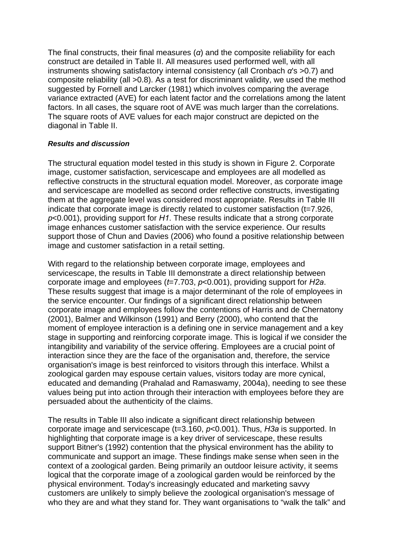The final constructs, their final measures (*α*) and the composite reliability for each construct are detailed in Table II. All measures used performed well, with all instruments showing satisfactory internal consistency (all Cronbach *α*'s >0.7) and composite reliability (all >0.8). As a test for discriminant validity, we used the method suggested by Fornell and Larcker (1981) which involves comparing the average variance extracted (AVE) for each latent factor and the correlations among the latent factors. In all cases, the square root of AVE was much larger than the correlations. The square roots of AVE values for each major construct are depicted on the diagonal in Table II.

#### *Results and discussion*

The structural equation model tested in this study is shown in Figure 2. Corporate image, customer satisfaction, servicescape and employees are all modelled as reflective constructs in the structural equation model. Moreover, as corporate image and servicescape are modelled as second order reflective constructs, investigating them at the aggregate level was considered most appropriate. Results in Table III indicate that corporate image is directly related to customer satisfaction (t=7.926, *p*<0.001), providing support for *H1*. These results indicate that a strong corporate image enhances customer satisfaction with the service experience. Our results support those of Chun and Davies (2006) who found a positive relationship between image and customer satisfaction in a retail setting.

With regard to the relationship between corporate image, employees and servicescape, the results in Table III demonstrate a direct relationship between corporate image and employees (*t*=7.703, *p*<0.001), providing support for *H2a*. These results suggest that image is a major determinant of the role of employees in the service encounter. Our findings of a significant direct relationship between corporate image and employees follow the contentions of Harris and de Chernatony (2001), Balmer and Wilkinson (1991) and Berry (2000), who contend that the moment of employee interaction is a defining one in service management and a key stage in supporting and reinforcing corporate image. This is logical if we consider the intangibility and variability of the service offering. Employees are a crucial point of interaction since they are the face of the organisation and, therefore, the service organisation's image is best reinforced to visitors through this interface. Whilst a zoological garden may espouse certain values, visitors today are more cynical, educated and demanding (Prahalad and Ramaswamy, 2004a), needing to see these values being put into action through their interaction with employees before they are persuaded about the authenticity of the claims.

The results in Table III also indicate a significant direct relationship between corporate image and servicescape (t=3.160, *p*<0.001). Thus, *H3a* is supported. In highlighting that corporate image is a key driver of servicescape, these results support Bitner's (1992) contention that the physical environment has the ability to communicate and support an image. These findings make sense when seen in the context of a zoological garden. Being primarily an outdoor leisure activity, it seems logical that the corporate image of a zoological garden would be reinforced by the physical environment. Today's increasingly educated and marketing savvy customers are unlikely to simply believe the zoological organisation's message of who they are and what they stand for. They want organisations to "walk the talk" and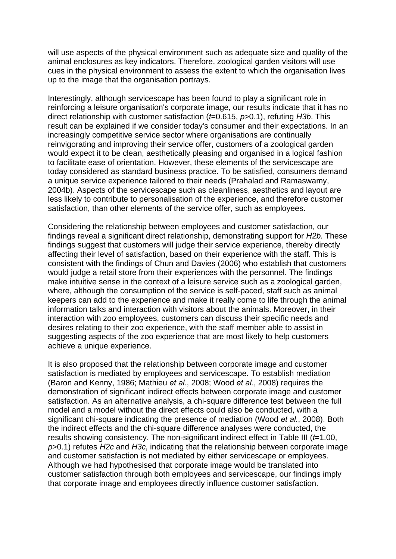will use aspects of the physical environment such as adequate size and quality of the animal enclosures as key indicators. Therefore, zoological garden visitors will use cues in the physical environment to assess the extent to which the organisation lives up to the image that the organisation portrays.

Interestingly, although servicescape has been found to play a significant role in reinforcing a leisure organisation's corporate image, our results indicate that it has no direct relationship with customer satisfaction (*t*=0.615, *p*>0.1), refuting *H3b*. This result can be explained if we consider today's consumer and their expectations. In an increasingly competitive service sector where organisations are continually reinvigorating and improving their service offer, customers of a zoological garden would expect it to be clean, aesthetically pleasing and organised in a logical fashion to facilitate ease of orientation. However, these elements of the servicescape are today considered as standard business practice. To be satisfied, consumers demand a unique service experience tailored to their needs (Prahalad and Ramaswamy, 2004b). Aspects of the servicescape such as cleanliness, aesthetics and layout are less likely to contribute to personalisation of the experience, and therefore customer satisfaction, than other elements of the service offer, such as employees.

Considering the relationship between employees and customer satisfaction, our findings reveal a significant direct relationship, demonstrating support for *H2b*. These findings suggest that customers will judge their service experience, thereby directly affecting their level of satisfaction, based on their experience with the staff. This is consistent with the findings of Chun and Davies (2006) who establish that customers would judge a retail store from their experiences with the personnel. The findings make intuitive sense in the context of a leisure service such as a zoological garden, where, although the consumption of the service is self-paced, staff such as animal keepers can add to the experience and make it really come to life through the animal information talks and interaction with visitors about the animals. Moreover, in their interaction with zoo employees, customers can discuss their specific needs and desires relating to their zoo experience, with the staff member able to assist in suggesting aspects of the zoo experience that are most likely to help customers achieve a unique experience.

It is also proposed that the relationship between corporate image and customer satisfaction is mediated by employees and servicescape. To establish mediation (Baron and Kenny, 1986; Mathieu *et al.*, 2008; Wood *et al.*, 2008) requires the demonstration of significant indirect effects between corporate image and customer satisfaction. As an alternative analysis, a chi-square difference test between the full model and a model without the direct effects could also be conducted, with a significant chi-square indicating the presence of mediation (Wood *et al.*, 2008). Both the indirect effects and the chi-square difference analyses were conducted, the results showing consistency. The non-significant indirect effect in Table III (*t*=1.00, *p*>0.1) refutes *H2c* and *H3c*, indicating that the relationship between corporate image and customer satisfaction is not mediated by either servicescape or employees. Although we had hypothesised that corporate image would be translated into customer satisfaction through both employees and servicescape, our findings imply that corporate image and employees directly influence customer satisfaction.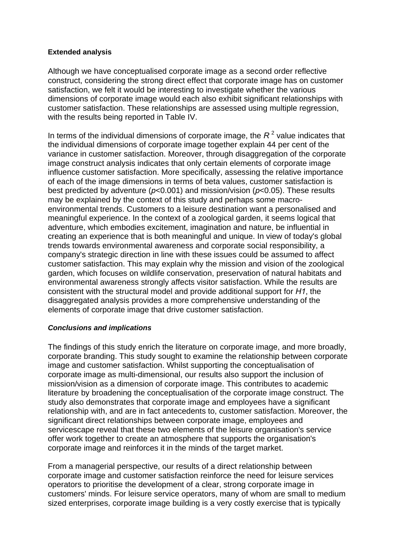#### **Extended analysis**

Although we have conceptualised corporate image as a second order reflective construct, considering the strong direct effect that corporate image has on customer satisfaction, we felt it would be interesting to investigate whether the various dimensions of corporate image would each also exhibit significant relationships with customer satisfaction. These relationships are assessed using multiple regression, with the results being reported in Table IV.

In terms of the individual dimensions of corporate image, the  $R<sup>2</sup>$  value indicates that the individual dimensions of corporate image together explain 44 per cent of the variance in customer satisfaction. Moreover, through disaggregation of the corporate image construct analysis indicates that only certain elements of corporate image influence customer satisfaction. More specifically, assessing the relative importance of each of the image dimensions in terms of beta values, customer satisfaction is best predicted by adventure (*p*<0.001) and mission/vision (*p*<0.05). These results may be explained by the context of this study and perhaps some macroenvironmental trends. Customers to a leisure destination want a personalised and meaningful experience. In the context of a zoological garden, it seems logical that adventure, which embodies excitement, imagination and nature, be influential in creating an experience that is both meaningful and unique. In view of today's global trends towards environmental awareness and corporate social responsibility, a company's strategic direction in line with these issues could be assumed to affect customer satisfaction. This may explain why the mission and vision of the zoological garden, which focuses on wildlife conservation, preservation of natural habitats and environmental awareness strongly affects visitor satisfaction. While the results are consistent with the structural model and provide additional support for *H1*, the disaggregated analysis provides a more comprehensive understanding of the elements of corporate image that drive customer satisfaction.

#### *Conclusions and implications*

The findings of this study enrich the literature on corporate image, and more broadly, corporate branding. This study sought to examine the relationship between corporate image and customer satisfaction. Whilst supporting the conceptualisation of corporate image as multi-dimensional, our results also support the inclusion of mission/vision as a dimension of corporate image. This contributes to academic literature by broadening the conceptualisation of the corporate image construct. The study also demonstrates that corporate image and employees have a significant relationship with, and are in fact antecedents to, customer satisfaction. Moreover, the significant direct relationships between corporate image, employees and servicescape reveal that these two elements of the leisure organisation's service offer work together to create an atmosphere that supports the organisation's corporate image and reinforces it in the minds of the target market.

From a managerial perspective, our results of a direct relationship between corporate image and customer satisfaction reinforce the need for leisure services operators to prioritise the development of a clear, strong corporate image in customers' minds. For leisure service operators, many of whom are small to medium sized enterprises, corporate image building is a very costly exercise that is typically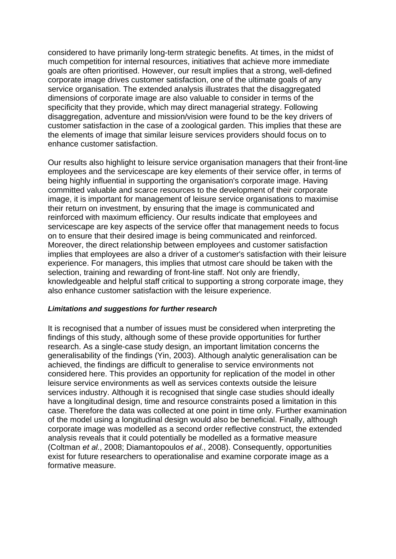considered to have primarily long-term strategic benefits. At times, in the midst of much competition for internal resources, initiatives that achieve more immediate goals are often prioritised. However, our result implies that a strong, well-defined corporate image drives customer satisfaction, one of the ultimate goals of any service organisation. The extended analysis illustrates that the disaggregated dimensions of corporate image are also valuable to consider in terms of the specificity that they provide, which may direct managerial strategy. Following disaggregation, adventure and mission/vision were found to be the key drivers of customer satisfaction in the case of a zoological garden. This implies that these are the elements of image that similar leisure services providers should focus on to enhance customer satisfaction.

Our results also highlight to leisure service organisation managers that their front-line employees and the servicescape are key elements of their service offer, in terms of being highly influential in supporting the organisation's corporate image. Having committed valuable and scarce resources to the development of their corporate image, it is important for management of leisure service organisations to maximise their return on investment, by ensuring that the image is communicated and reinforced with maximum efficiency. Our results indicate that employees and servicescape are key aspects of the service offer that management needs to focus on to ensure that their desired image is being communicated and reinforced. Moreover, the direct relationship between employees and customer satisfaction implies that employees are also a driver of a customer's satisfaction with their leisure experience. For managers, this implies that utmost care should be taken with the selection, training and rewarding of front-line staff. Not only are friendly, knowledgeable and helpful staff critical to supporting a strong corporate image, they also enhance customer satisfaction with the leisure experience.

#### *Limitations and suggestions for further research*

It is recognised that a number of issues must be considered when interpreting the findings of this study, although some of these provide opportunities for further research. As a single-case study design, an important limitation concerns the generalisability of the findings (Yin, 2003). Although analytic generalisation can be achieved, the findings are difficult to generalise to service environments not considered here. This provides an opportunity for replication of the model in other leisure service environments as well as services contexts outside the leisure services industry. Although it is recognised that single case studies should ideally have a longitudinal design, time and resource constraints posed a limitation in this case. Therefore the data was collected at one point in time only. Further examination of the model using a longitudinal design would also be beneficial. Finally, although corporate image was modelled as a second order reflective construct, the extended analysis reveals that it could potentially be modelled as a formative measure (Coltman *et al.*, 2008; Diamantopoulos *et al.*, 2008). Consequently, opportunities exist for future researchers to operationalise and examine corporate image as a formative measure.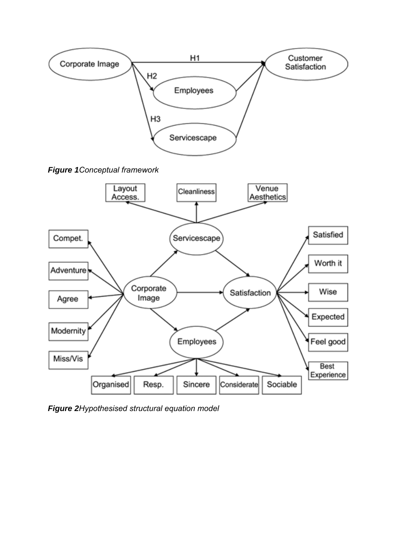

*Figure 1Conceptual framework*



*Figure 2Hypothesised structural equation model*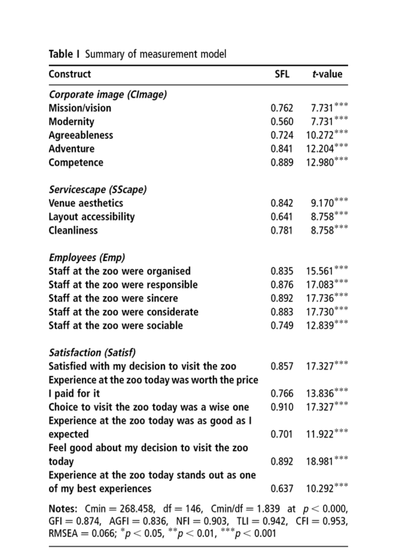| Construct                                                                                                                                       | SFL   | t-value     |
|-------------------------------------------------------------------------------------------------------------------------------------------------|-------|-------------|
| Corporate image (CImage)                                                                                                                        |       |             |
| <b>Mission/vision</b>                                                                                                                           | 0.762 | $7.731***$  |
| Modernity                                                                                                                                       | 0.560 | $7.731***$  |
| <b>Agreeableness</b>                                                                                                                            | 0.724 | $10.272***$ |
| Adventure                                                                                                                                       | 0.841 | 12.204***   |
| Competence                                                                                                                                      | 0.889 | $12.980***$ |
| Servicescape (SScape)                                                                                                                           |       |             |
| <b>Venue aesthetics</b>                                                                                                                         | 0.842 | $9.170***$  |
| Layout accessibility                                                                                                                            | 0.641 | $8.758***$  |
| <b>Cleanliness</b>                                                                                                                              | 0.781 | $8.758***$  |
| <b>Employees (Emp)</b>                                                                                                                          |       |             |
| Staff at the zoo were organised                                                                                                                 | 0.835 | 15.561***   |
| Staff at the zoo were responsible                                                                                                               | 0.876 | 17.083***   |
| Staff at the zoo were sincere                                                                                                                   | 0.892 | 17.736***   |
| Staff at the zoo were considerate                                                                                                               | 0.883 | $17.730***$ |
| Staff at the zoo were sociable                                                                                                                  | 0.749 | 12.839 ***  |
| <b>Satisfaction (Satisf)</b>                                                                                                                    |       |             |
| Satisfied with my decision to visit the zoo                                                                                                     | 0.857 | $17.327***$ |
| Experience at the zoo today was worth the price                                                                                                 |       |             |
| I paid for it                                                                                                                                   | 0.766 | 13.836***   |
| Choice to visit the zoo today was a wise one                                                                                                    | 0.910 | 17.327***   |
| Experience at the zoo today was as good as I                                                                                                    |       |             |
| expected                                                                                                                                        | 0.701 | $11.922***$ |
| Feel good about my decision to visit the zoo                                                                                                    |       |             |
| today                                                                                                                                           | 0.892 | 18.981 ***  |
| Experience at the zoo today stands out as one                                                                                                   |       |             |
| of my best experiences                                                                                                                          | 0.637 | 10.292***   |
| <b>Notes:</b> Cmin = 268.458, df = 146, Cmin/df = 1.839 at $p < 0.000$ ,<br>$CL = 0.974$ $ACL = 0.926$ NEL $= 0.002$ TH $= 0.042$ CEL $= 0.052$ |       |             |

### Table I Summary of measurement model

GFI = 0.874, AGFI = 0.836, NFI = 0.903, TLI = 0.942, CFI = 0.953,<br>RMSEA = 0.066;  $^*p <$  0.05,  $^{**}p <$  0.01,  $^{***}p <$  0.001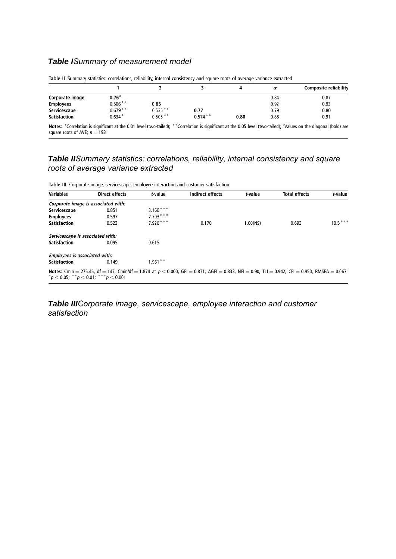#### *Table ISummary of measurement model*

|                  |                   |           |           |      | $\boldsymbol{\alpha}$ | <b>Composite reliability</b> |
|------------------|-------------------|-----------|-----------|------|-----------------------|------------------------------|
| Corporate image  | 0.76 <sup>a</sup> |           |           |      | 0.84                  | 0.87                         |
| <b>Employees</b> | $0.506**$         | 0.85      |           |      | 0.92                  | 0.93                         |
| Servicescape     | $0.679**$         | $0.535**$ | 0.77      |      | 0.79                  | 0.80                         |
| Satisfaction     | $0.634*$          | $0.505**$ | $0.574**$ | 0.80 | 0.88                  | 0.91                         |
|                  |                   |           |           |      |                       |                              |

Table II Summary statistics: correlations, reliability, internal consistency and square roots of average variance extracted

Notes: \*Correlation is significant at the 0.01 level (two-tailed); \*\*Correlation is significant at the 0.05 level (two-tailed); <sup>a</sup>Values on the diagonal (bold) are square roots of AVE;  $n = 193$ 

#### *Table IISummary statistics: correlations, reliability, internal consistency and square roots of average variance extracted*

Table III Corporate image, servicescape, employee interaction and customer satisfaction

| <b>Variables</b>                     | <b>Direct effects</b>                   | t-value    | Indirect effects                                                                                                                                 | t-value  | <b>Total effects</b> | t-value   |
|--------------------------------------|-----------------------------------------|------------|--------------------------------------------------------------------------------------------------------------------------------------------------|----------|----------------------|-----------|
|                                      | Corporate image is associated with:     |            |                                                                                                                                                  |          |                      |           |
| Servicescape                         | 0.851                                   | $3.160***$ |                                                                                                                                                  |          |                      |           |
| <b>Employees</b>                     | 0.597                                   | $7.703***$ |                                                                                                                                                  |          |                      |           |
| <b>Satisfaction</b>                  | 0.523                                   | $7.926***$ | 0.170                                                                                                                                            | 1.00(NS) | 0.693                | $10.5***$ |
| Servicescape is associated with:     |                                         |            |                                                                                                                                                  |          |                      |           |
| Satisfaction                         | 0.095                                   | 0.615      |                                                                                                                                                  |          |                      |           |
| <b>Employees is associated with:</b> |                                         |            |                                                                                                                                                  |          |                      |           |
| <b>Satisfaction</b>                  | 0.149                                   | $1.961**$  |                                                                                                                                                  |          |                      |           |
|                                      | $p^*p$ < 0.05; **p < 0.01; ***p < 0.001 |            | Notes: Cmin = 275.45, df = 147, Cmin/df = 1.874 at $p < 0.000$ , GFI = 0.871, AGFI = 0.833, NFI = 0.90, TLI = 0.942, CFI = 0.950, RMSEA = 0.067; |          |                      |           |

*Table IIICorporate image, servicescape, employee interaction and customer satisfaction*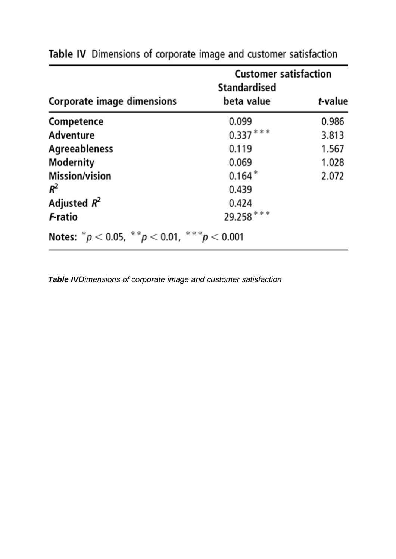|                                              | <b>Customer satisfaction</b>      |         |
|----------------------------------------------|-----------------------------------|---------|
| Corporate image dimensions                   | <b>Standardised</b><br>beta value | t-value |
| Competence                                   | 0.099                             | 0.986   |
| Adventure                                    | $0.337***$                        | 3.813   |
| <b>Agreeableness</b>                         | 0.119                             | 1.567   |
| Modernity                                    | 0.069                             | 1.028   |
| <b>Mission/vision</b>                        | $0.164*$                          | 2.072   |
| $R^2$                                        | 0.439                             |         |
| Adjusted $R^2$                               | 0.424                             |         |
| F-ratio                                      | 29.258***                         |         |
| Notes: $p < 0.05$ , $p > 0.01$ , $p > 0.001$ |                                   |         |

Table IV Dimensions of corporate image and customer satisfaction

*Table IVDimensions of corporate image and customer satisfaction*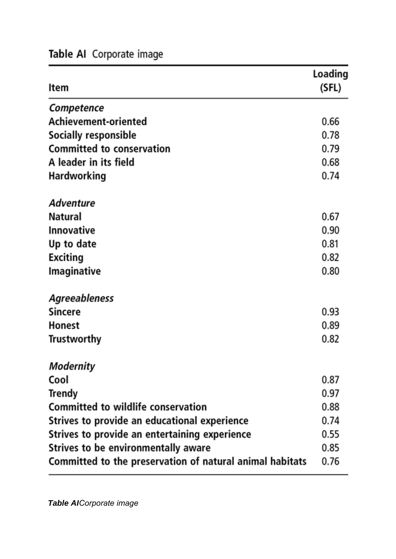| Item                                                     | Loading<br>(SFL) |
|----------------------------------------------------------|------------------|
| Competence                                               |                  |
| Achievement-oriented                                     | 0.66             |
| Socially responsible                                     | 0.78             |
| <b>Committed to conservation</b>                         | 0.79             |
| A leader in its field                                    | 0.68             |
| Hardworking                                              | 0.74             |
| <b>Adventure</b>                                         |                  |
| <b>Natural</b>                                           | 0.67             |
| <b>Innovative</b>                                        | 0.90             |
| Up to date                                               | 0.81             |
| Exciting                                                 | 0.82             |
| Imaginative                                              | 0.80             |
| Agreeableness                                            |                  |
| Sincere                                                  | 0.93             |
| Honest                                                   | 0.89             |
| Trustworthy                                              | 0.82             |
| <b>Modernity</b>                                         |                  |
| Cool                                                     | 0.87             |
| Trendy                                                   | 0.97             |
| <b>Committed to wildlife conservation</b>                | 0.88             |
| Strives to provide an educational experience             | 0.74             |
| Strives to provide an entertaining experience            | 0.55             |
| Strives to be environmentally aware                      | 0.85             |
| Committed to the preservation of natural animal habitats | 0.76             |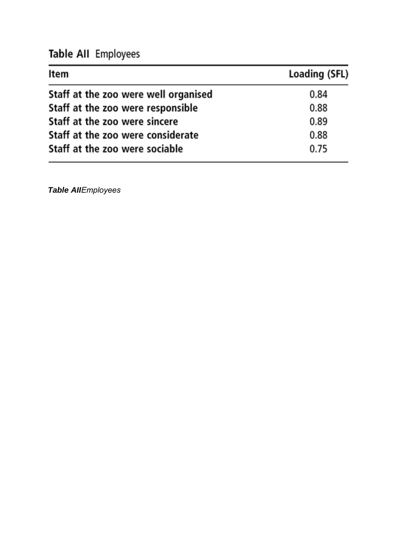Table AII Employees

| Item                                 | Loading (SFL) |
|--------------------------------------|---------------|
| Staff at the zoo were well organised | 0.84          |
| Staff at the zoo were responsible    | 0.88          |
| Staff at the zoo were sincere        | 0.89          |
| Staff at the zoo were considerate    | 0.88          |
| Staff at the zoo were sociable       | 0.75          |

*Table AIIEmployees*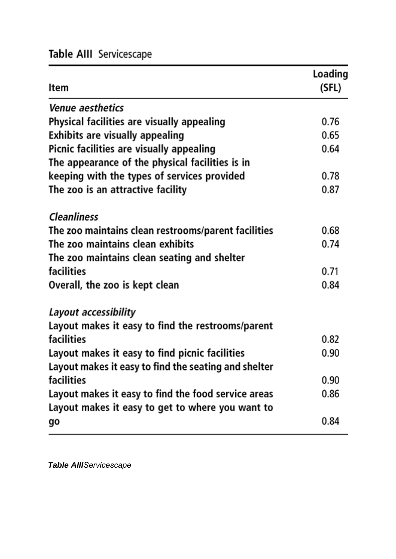## Table AIII Servicescape

| Item                                                 | Loading<br>(SFL) |
|------------------------------------------------------|------------------|
| <b>Venue aesthetics</b>                              |                  |
| Physical facilities are visually appealing           | 0.76             |
| Exhibits are visually appealing                      | 0.65             |
| Picnic facilities are visually appealing             | 0.64             |
| The appearance of the physical facilities is in      |                  |
| keeping with the types of services provided          | 0.78             |
| The zoo is an attractive facility                    | 0.87             |
| <b>Cleanliness</b>                                   |                  |
| The zoo maintains clean restrooms/parent facilities  | 0.68             |
| The zoo maintains clean exhibits                     | 0.74             |
| The zoo maintains clean seating and shelter          |                  |
| facilities                                           | 0.71             |
| Overall, the zoo is kept clean                       | 0.84             |
| Layout accessibility                                 |                  |
| Layout makes it easy to find the restrooms/parent    |                  |
| facilities                                           | 0.82             |
| Layout makes it easy to find picnic facilities       | 0.90             |
| Layout makes it easy to find the seating and shelter |                  |
| facilities                                           | 0.90             |
| Layout makes it easy to find the food service areas  | 0.86             |
| Layout makes it easy to get to where you want to     |                  |
| go                                                   | 0.84             |
|                                                      |                  |

*Table AIIIServicescape*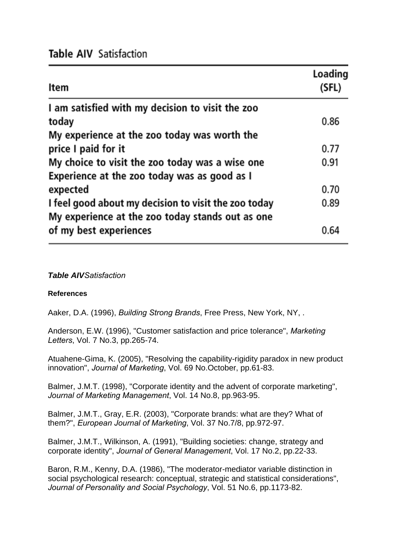### Table AIV Satisfaction

| Item                                                 | Loading<br>(SFL) |
|------------------------------------------------------|------------------|
| I am satisfied with my decision to visit the zoo     |                  |
| today                                                | 0.86             |
| My experience at the zoo today was worth the         |                  |
| price I paid for it                                  | 0.77             |
| My choice to visit the zoo today was a wise one      | 0.91             |
| Experience at the zoo today was as good as I         |                  |
| expected                                             | 0.70             |
| I feel good about my decision to visit the zoo today | 0.89             |
| My experience at the zoo today stands out as one     |                  |
| of my best experiences                               | 0.64             |
|                                                      |                  |

#### *Table AIVSatisfaction*

#### **References**

Aaker, D.A. (1996), *Building Strong Brands*, Free Press, New York, NY, .

Anderson, E.W. (1996), "Customer satisfaction and price tolerance", *Marketing Letters*, Vol. 7 No.3, pp.265-74.

Atuahene-Gima, K. (2005), "Resolving the capability-rigidity paradox in new product innovation", *Journal of Marketing*, Vol. 69 No.October, pp.61-83.

Balmer, J.M.T. (1998), "Corporate identity and the advent of corporate marketing", *Journal of Marketing Management*, Vol. 14 No.8, pp.963-95.

Balmer, J.M.T., Gray, E.R. (2003), "Corporate brands: what are they? What of them?", *European Journal of Marketing*, Vol. 37 No.7/8, pp.972-97.

Balmer, J.M.T., Wilkinson, A. (1991), "Building societies: change, strategy and corporate identity", *Journal of General Management*, Vol. 17 No.2, pp.22-33.

Baron, R.M., Kenny, D.A. (1986), "The moderator-mediator variable distinction in social psychological research: conceptual, strategic and statistical considerations", *Journal of Personality and Social Psychology*, Vol. 51 No.6, pp.1173-82.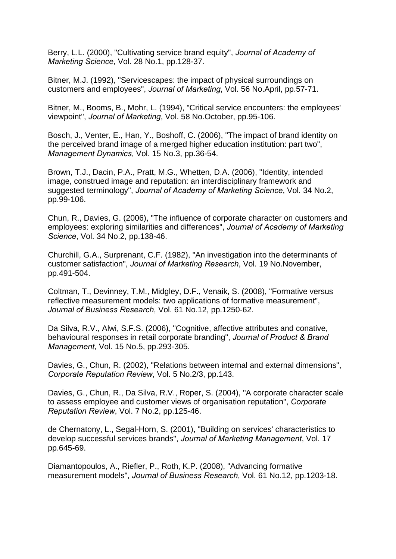Berry, L.L. (2000), "Cultivating service brand equity", *Journal of Academy of Marketing Science*, Vol. 28 No.1, pp.128-37.

Bitner, M.J. (1992), "Servicescapes: the impact of physical surroundings on customers and employees", *Journal of Marketing*, Vol. 56 No.April, pp.57-71.

Bitner, M., Booms, B., Mohr, L. (1994), "Critical service encounters: the employees' viewpoint", *Journal of Marketing*, Vol. 58 No.October, pp.95-106.

Bosch, J., Venter, E., Han, Y., Boshoff, C. (2006), "The impact of brand identity on the perceived brand image of a merged higher education institution: part two", *Management Dynamics*, Vol. 15 No.3, pp.36-54.

Brown, T.J., Dacin, P.A., Pratt, M.G., Whetten, D.A. (2006), "Identity, intended image, construed image and reputation: an interdisciplinary framework and suggested terminology", *Journal of Academy of Marketing Science*, Vol. 34 No.2, pp.99-106.

Chun, R., Davies, G. (2006), "The influence of corporate character on customers and employees: exploring similarities and differences", *Journal of Academy of Marketing Science*, Vol. 34 No.2, pp.138-46.

Churchill, G.A., Surprenant, C.F. (1982), "An investigation into the determinants of customer satisfaction", *Journal of Marketing Research*, Vol. 19 No.November, pp.491-504.

Coltman, T., Devinney, T.M., Midgley, D.F., Venaik, S. (2008), "Formative versus reflective measurement models: two applications of formative measurement", *Journal of Business Research*, Vol. 61 No.12, pp.1250-62.

Da Silva, R.V., Alwi, S.F.S. (2006), "Cognitive, affective attributes and conative, behavioural responses in retail corporate branding", *Journal of Product & Brand Management*, Vol. 15 No.5, pp.293-305.

Davies, G., Chun, R. (2002), "Relations between internal and external dimensions", *Corporate Reputation Review*, Vol. 5 No.2/3, pp.143.

Davies, G., Chun, R., Da Silva, R.V., Roper, S. (2004), "A corporate character scale to assess employee and customer views of organisation reputation", *Corporate Reputation Review*, Vol. 7 No.2, pp.125-46.

de Chernatony, L., Segal-Horn, S. (2001), "Building on services' characteristics to develop successful services brands", *Journal of Marketing Management*, Vol. 17 pp.645-69.

Diamantopoulos, A., Riefler, P., Roth, K.P. (2008), "Advancing formative measurement models", *Journal of Business Research*, Vol. 61 No.12, pp.1203-18.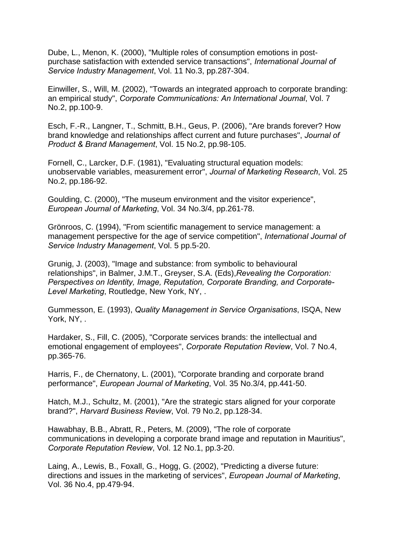Dube, L., Menon, K. (2000), "Multiple roles of consumption emotions in postpurchase satisfaction with extended service transactions", *International Journal of Service Industry Management*, Vol. 11 No.3, pp.287-304.

Einwiller, S., Will, M. (2002), "Towards an integrated approach to corporate branding: an empirical study", *Corporate Communications: An International Journal*, Vol. 7 No.2, pp.100-9.

Esch, F.-R., Langner, T., Schmitt, B.H., Geus, P. (2006), "Are brands forever? How brand knowledge and relationships affect current and future purchases", *Journal of Product & Brand Management*, Vol. 15 No.2, pp.98-105.

Fornell, C., Larcker, D.F. (1981), "Evaluating structural equation models: unobservable variables, measurement error", *Journal of Marketing Research*, Vol. 25 No.2, pp.186-92.

Goulding, C. (2000), "The museum environment and the visitor experience", *European Journal of Marketing*, Vol. 34 No.3/4, pp.261-78.

Grönroos, C. (1994), "From scientific management to service management: a management perspective for the age of service competition", *International Journal of Service Industry Management*, Vol. 5 pp.5-20.

Grunig, J. (2003), "Image and substance: from symbolic to behavioural relationships", in Balmer, J.M.T., Greyser, S.A. (Eds),*Revealing the Corporation: Perspectives on Identity, Image, Reputation, Corporate Branding, and Corporate-Level Marketing*, Routledge, New York, NY, .

Gummesson, E. (1993), *Quality Management in Service Organisations*, ISQA, New York, NY, .

Hardaker, S., Fill, C. (2005), "Corporate services brands: the intellectual and emotional engagement of employees", *Corporate Reputation Review*, Vol. 7 No.4, pp.365-76.

Harris, F., de Chernatony, L. (2001), "Corporate branding and corporate brand performance", *European Journal of Marketing*, Vol. 35 No.3/4, pp.441-50.

Hatch, M.J., Schultz, M. (2001), "Are the strategic stars aligned for your corporate brand?", *Harvard Business Review*, Vol. 79 No.2, pp.128-34.

Hawabhay, B.B., Abratt, R., Peters, M. (2009), "The role of corporate communications in developing a corporate brand image and reputation in Mauritius", *Corporate Reputation Review*, Vol. 12 No.1, pp.3-20.

Laing, A., Lewis, B., Foxall, G., Hogg, G. (2002), "Predicting a diverse future: directions and issues in the marketing of services", *European Journal of Marketing*, Vol. 36 No.4, pp.479-94.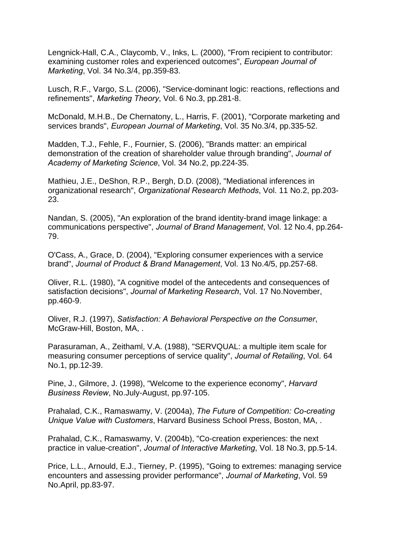Lengnick-Hall, C.A., Claycomb, V., Inks, L. (2000), "From recipient to contributor: examining customer roles and experienced outcomes", *European Journal of Marketing*, Vol. 34 No.3/4, pp.359-83.

Lusch, R.F., Vargo, S.L. (2006), "Service-dominant logic: reactions, reflections and refinements", *Marketing Theory*, Vol. 6 No.3, pp.281-8.

McDonald, M.H.B., De Chernatony, L., Harris, F. (2001), "Corporate marketing and services brands", *European Journal of Marketing*, Vol. 35 No.3/4, pp.335-52.

Madden, T.J., Fehle, F., Fournier, S. (2006), "Brands matter: an empirical demonstration of the creation of shareholder value through branding", *Journal of Academy of Marketing Science*, Vol. 34 No.2, pp.224-35.

Mathieu, J.E., DeShon, R.P., Bergh, D.D. (2008), "Mediational inferences in organizational research", *Organizational Research Methods*, Vol. 11 No.2, pp.203- 23.

Nandan, S. (2005), "An exploration of the brand identity-brand image linkage: a communications perspective", *Journal of Brand Management*, Vol. 12 No.4, pp.264- 79.

O'Cass, A., Grace, D. (2004), "Exploring consumer experiences with a service brand", *Journal of Product & Brand Management*, Vol. 13 No.4/5, pp.257-68.

Oliver, R.L. (1980), "A cognitive model of the antecedents and consequences of satisfaction decisions", *Journal of Marketing Research*, Vol. 17 No.November, pp.460-9.

Oliver, R.J. (1997), *Satisfaction: A Behavioral Perspective on the Consumer*, McGraw-Hill, Boston, MA, .

Parasuraman, A., Zeithaml, V.A. (1988), "SERVQUAL: a multiple item scale for measuring consumer perceptions of service quality", *Journal of Retailing*, Vol. 64 No.1, pp.12-39.

Pine, J., Gilmore, J. (1998), "Welcome to the experience economy", *Harvard Business Review*, No.July-August, pp.97-105.

Prahalad, C.K., Ramaswamy, V. (2004a), *The Future of Competition: Co-creating Unique Value with Customers*, Harvard Business School Press, Boston, MA, .

Prahalad, C.K., Ramaswamy, V. (2004b), "Co-creation experiences: the next practice in value-creation", *Journal of Interactive Marketing*, Vol. 18 No.3, pp.5-14.

Price, L.L., Arnould, E.J., Tierney, P. (1995), "Going to extremes: managing service encounters and assessing provider performance", *Journal of Marketing*, Vol. 59 No.April, pp.83-97.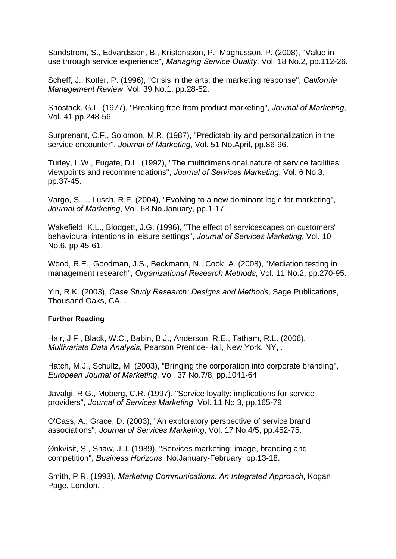Sandstrom, S., Edvardsson, B., Kristensson, P., Magnusson, P. (2008), "Value in use through service experience", *Managing Service Quality*, Vol. 18 No.2, pp.112-26.

Scheff, J., Kotler, P. (1996), "Crisis in the arts: the marketing response", *California Management Review*, Vol. 39 No.1, pp.28-52.

Shostack, G.L. (1977), "Breaking free from product marketing", *Journal of Marketing*, Vol. 41 pp.248-56.

Surprenant, C.F., Solomon, M.R. (1987), "Predictability and personalization in the service encounter", *Journal of Marketing*, Vol. 51 No.April, pp.86-96.

Turley, L.W., Fugate, D.L. (1992), "The multidimensional nature of service facilities: viewpoints and recommendations", *Journal of Services Marketing*, Vol. 6 No.3, pp.37-45.

Vargo, S.L., Lusch, R.F. (2004), "Evolving to a new dominant logic for marketing", *Journal of Marketing*, Vol. 68 No.January, pp.1-17.

Wakefield, K.L., Blodgett, J.G. (1996), "The effect of servicescapes on customers' behavioural intentions in leisure settings", *Journal of Services Marketing*, Vol. 10 No.6, pp.45-61.

Wood, R.E., Goodman, J.S., Beckmann, N., Cook, A. (2008), "Mediation testing in management research", *Organizational Research Methods*, Vol. 11 No.2, pp.270-95.

Yin, R.K. (2003), *Case Study Research: Designs and Methods*, Sage Publications, Thousand Oaks, CA, .

#### **Further Reading**

Hair, J.F., Black, W.C., Babin, B.J., Anderson, R.E., Tatham, R.L. (2006), *Multivariate Data Analysis*, Pearson Prentice-Hall, New York, NY, .

Hatch, M.J., Schultz, M. (2003), "Bringing the corporation into corporate branding", *European Journal of Marketing*, Vol. 37 No.7/8, pp.1041-64.

Javalgi, R.G., Moberg, C.R. (1997), "Service loyalty: implications for service providers", *Journal of Services Marketing*, Vol. 11 No.3, pp.165-79.

O'Cass, A., Grace, D. (2003), "An exploratory perspective of service brand associations", *Journal of Services Marketing*, Vol. 17 No.4/5, pp.452-75.

Ønkvisit, S., Shaw, J.J. (1989), "Services marketing: image, branding and competition", *Business Horizons*, No.January-February, pp.13-18.

Smith, P.R. (1993), *Marketing Communications: An Integrated Approach*, Kogan Page, London, .